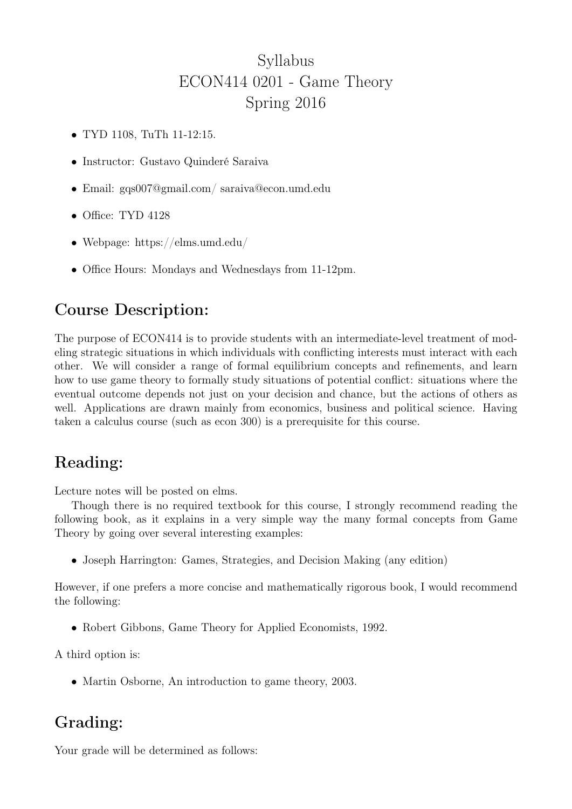# Syllabus ECON414 0201 - Game Theory Spring 2016

- TYD 1108, TuTh 11-12:15.
- Instructor: Gustavo Quinderé Saraiva
- Email: gqs007@gmail.com/ saraiva@econ.umd.edu
- Office: TYD 4128
- Webpage: https://elms.umd.edu/
- Office Hours: Mondays and Wednesdays from 11-12pm.

## Course Description:

The purpose of ECON414 is to provide students with an intermediate-level treatment of modeling strategic situations in which individuals with conflicting interests must interact with each other. We will consider a range of formal equilibrium concepts and refinements, and learn how to use game theory to formally study situations of potential conflict: situations where the eventual outcome depends not just on your decision and chance, but the actions of others as well. Applications are drawn mainly from economics, business and political science. Having taken a calculus course (such as econ 300) is a prerequisite for this course.

## Reading:

Lecture notes will be posted on elms.

Though there is no required textbook for this course, I strongly recommend reading the following book, as it explains in a very simple way the many formal concepts from Game Theory by going over several interesting examples:

• Joseph Harrington: Games, Strategies, and Decision Making (any edition)

However, if one prefers a more concise and mathematically rigorous book, I would recommend the following:

• Robert Gibbons, Game Theory for Applied Economists, 1992.

A third option is:

• Martin Osborne, An introduction to game theory, 2003.

## Grading:

Your grade will be determined as follows: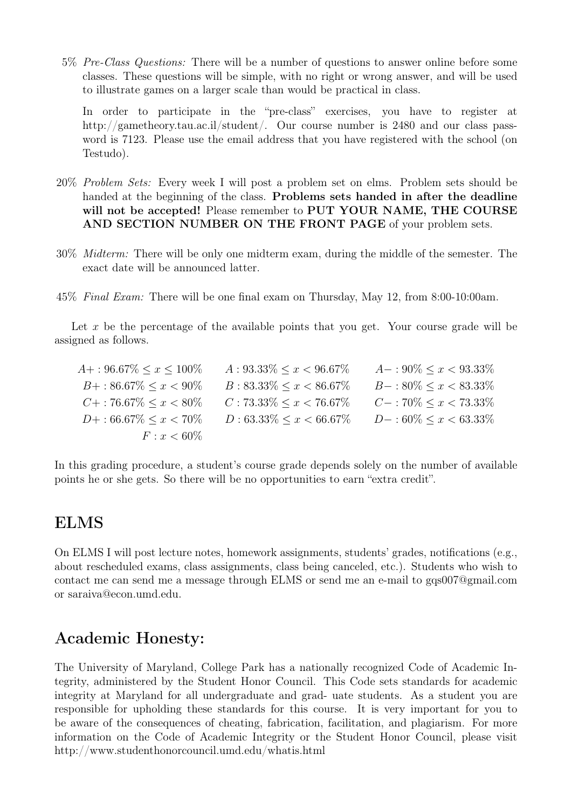5% Pre-Class Questions: There will be a number of questions to answer online before some classes. These questions will be simple, with no right or wrong answer, and will be used to illustrate games on a larger scale than would be practical in class.

In order to participate in the "pre-class" exercises, you have to register at http://gametheory.tau.ac.il/student/. Our course number is 2480 and our class password is 7123. Please use the email address that you have registered with the school (on Testudo).

- 20% Problem Sets: Every week I will post a problem set on elms. Problem sets should be handed at the beginning of the class. Problems sets handed in after the deadline will not be accepted! Please remember to PUT YOUR NAME, THE COURSE AND SECTION NUMBER ON THE FRONT PAGE of your problem sets.
- 30% Midterm: There will be only one midterm exam, during the middle of the semester. The exact date will be announced latter.
- 45% Final Exam: There will be one final exam on Thursday, May 12, from 8:00-10:00am.

Let  $x$  be the percentage of the available points that you get. Your course grade will be assigned as follows.

| $A+$ : 96.67\% $\lt x \lt 100\%$    | $A: 93.33\% \leq x \leq 96.67\%$ | $A-:90\% \leq x < 93.33\%$        |
|-------------------------------------|----------------------------------|-----------------------------------|
| $B+$ : 86.67\% $\leq x < 90\%$      | $B: 83.33\% \leq x \leq 86.67\%$ | $B-$ : 80\% $\leq x <$ 83.33\%    |
| $C_{\pm}$ : 76.67\% $\leq x < 80\%$ | $C: 73.33\% \leq x < 76.67\%$    | $C-$ : 70% $\leq x \leq 73.33\%$  |
| $D+$ : 66.67\% $\leq x < 70\%$      | $D: 63.33\% \leq x \leq 66.67\%$ | $D-$ : 60\% $\leq x \leq 63.33\%$ |
| $F: x < 60\%$                       |                                  |                                   |

In this grading procedure, a student's course grade depends solely on the number of available points he or she gets. So there will be no opportunities to earn "extra credit".

#### ELMS

On ELMS I will post lecture notes, homework assignments, students' grades, notifications (e.g., about rescheduled exams, class assignments, class being canceled, etc.). Students who wish to contact me can send me a message through ELMS or send me an e-mail to gqs007@gmail.com or saraiva@econ.umd.edu.

## Academic Honesty:

The University of Maryland, College Park has a nationally recognized Code of Academic Integrity, administered by the Student Honor Council. This Code sets standards for academic integrity at Maryland for all undergraduate and grad- uate students. As a student you are responsible for upholding these standards for this course. It is very important for you to be aware of the consequences of cheating, fabrication, facilitation, and plagiarism. For more information on the Code of Academic Integrity or the Student Honor Council, please visit http://www.studenthonorcouncil.umd.edu/whatis.html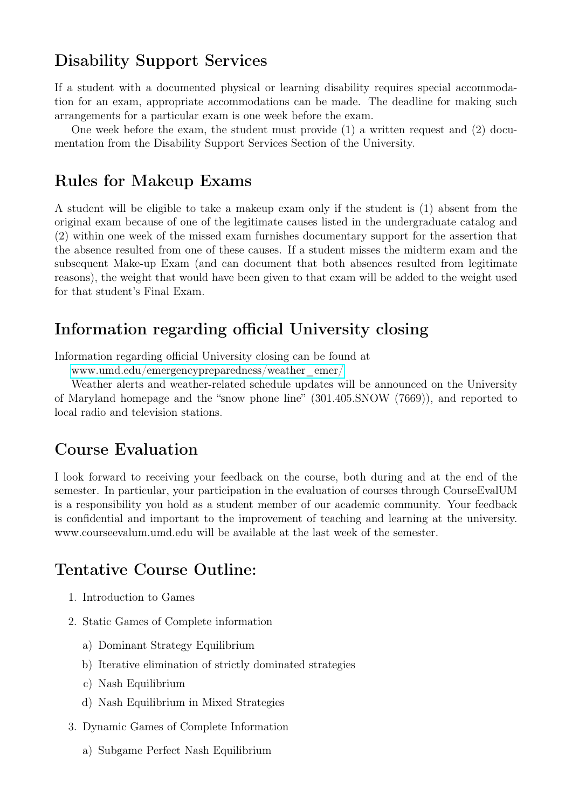#### Disability Support Services

If a student with a documented physical or learning disability requires special accommodation for an exam, appropriate accommodations can be made. The deadline for making such arrangements for a particular exam is one week before the exam.

One week before the exam, the student must provide  $(1)$  a written request and  $(2)$  documentation from the Disability Support Services Section of the University.

#### Rules for Makeup Exams

A student will be eligible to take a makeup exam only if the student is (1) absent from the original exam because of one of the legitimate causes listed in the undergraduate catalog and (2) within one week of the missed exam furnishes documentary support for the assertion that the absence resulted from one of these causes. If a student misses the midterm exam and the subsequent Make-up Exam (and can document that both absences resulted from legitimate reasons), the weight that would have been given to that exam will be added to the weight used for that student's Final Exam.

#### Information regarding official University closing

Information regarding official University closing can be found at

[www.umd.edu/emergencypreparedness/weather\\_emer/](https://www.umd.edu/emergencypreparedness/weather_emer/)

Weather alerts and weather-related schedule updates will be announced on the University of Maryland homepage and the "snow phone line" (301.405.SNOW (7669)), and reported to local radio and television stations.

#### Course Evaluation

I look forward to receiving your feedback on the course, both during and at the end of the semester. In particular, your participation in the evaluation of courses through CourseEvalUM is a responsibility you hold as a student member of our academic community. Your feedback is confidential and important to the improvement of teaching and learning at the university. www.courseevalum.umd.edu will be available at the last week of the semester.

### Tentative Course Outline:

- 1. Introduction to Games
- 2. Static Games of Complete information
	- a) Dominant Strategy Equilibrium
	- b) Iterative elimination of strictly dominated strategies
	- c) Nash Equilibrium
	- d) Nash Equilibrium in Mixed Strategies
- 3. Dynamic Games of Complete Information
	- a) Subgame Perfect Nash Equilibrium